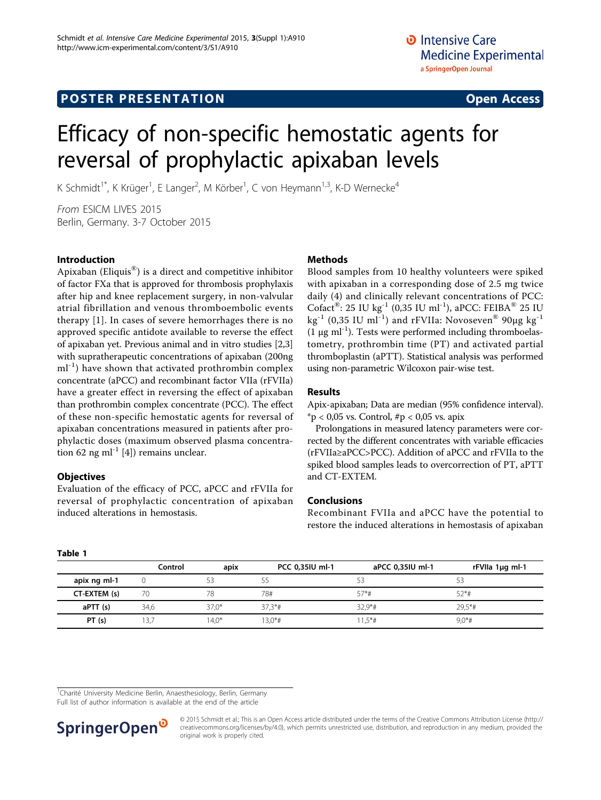# Efficacy of non-specific hemostatic agents for reversal of prophylactic apixaban levels

K Schmidt<sup>1\*</sup>, K Krüger<sup>1</sup>, E Langer<sup>2</sup>, M Körber<sup>1</sup>, C von Heymann<sup>1,3</sup>, K-D Wernecke<sup>4</sup>

From ESICM LIVES 2015 Berlin, Germany. 3-7 October 2015

# Introduction

Apixaban (Eliquis $^{\circledR}$ ) is a direct and competitive inhibitor of factor FXa that is approved for thrombosis prophylaxis after hip and knee replacement surgery, in non-valvular atrial fibrillation and venous thromboembolic events therapy [[1](#page-1-0)]. In cases of severe hemorrhages there is no approved specific antidote available to reverse the effect of apixaban yet. Previous animal and in vitro studies [\[2](#page-1-0),[3](#page-1-0)] with supratherapeutic concentrations of apixaban (200ng  $ml<sup>-1</sup>$ ) have shown that activated prothrombin complex concentrate (aPCC) and recombinant factor VIIa (rFVIIa) have a greater effect in reversing the effect of apixaban than prothrombin complex concentrate (PCC). The effect of these non-specific hemostatic agents for reversal of apixaban concentrations measured in patients after prophylactic doses (maximum observed plasma concentra-tion 62 ng ml<sup>-1</sup> [[4\]](#page-1-0)) remains unclear.

# **Objectives**

Evaluation of the efficacy of PCC, aPCC and rFVIIa for reversal of prophylactic concentration of apixaban induced alterations in hemostasis.

# **Methods**

Blood samples from 10 healthy volunteers were spiked with apixaban in a corresponding dose of 2.5 mg twice daily (4) and clinically relevant concentrations of PCC: Cofact<sup>®</sup>: 25 IU kg<sup>-1</sup> (0,35 IU ml<sup>-1</sup>), aPCC: FEIBA<sup>®</sup> 25 IU kg<sup>-1</sup> (0,35 IU ml<sup>-1</sup>) and rFVIIa: Novoseven<sup>®</sup> 90µg kg<sup>-1</sup> (1  $\mu$ g ml<sup>-1</sup>). Tests were performed including thromboelastometry, prothrombin time (PT) and activated partial thromboplastin (aPTT). Statistical analysis was performed using non-parametric Wilcoxon pair-wise test.

# Results

Apix-apixaban; Data are median (95% confidence interval).  $*$ p < 0,05 vs. Control,  $\#$ p < 0,05 vs. apix

Prolongations in measured latency parameters were corrected by the different concentrates with variable efficacies (rFVIIa≥aPCC>PCC). Addition of aPCC and rFVIIa to the spiked blood samples leads to overcorrection of PT, aPTT and CT-EXTEM.

# Conclusions

Recombinant FVIIa and aPCC have the potential to restore the induced alterations in hemostasis of apixaban

#### Table 1

|              | Control | apix    | PCC 0,35IU ml-1 | aPCC 0,35IU ml-1 | rFVIIa 1µg ml-1 |
|--------------|---------|---------|-----------------|------------------|-----------------|
| apix ng ml-1 |         |         |                 |                  | בר              |
| CT-EXTEM (s) |         | 78      | 78#             | $57*$ #          | $52*$ #         |
| aPTT (s)     | 34.6    | $37.0*$ | $37.3*$ #       | $32.9*$ #        | $29.5*$ #       |
| PT(s)        | 13.7    | $14.0*$ | $13.0*$ #       | $1.5*$ #         | $9.0*$ #        |

<sup>1</sup>Charité University Medicine Berlin, Anaesthesiology, Berlin, Germany

Full list of author information is available at the end of the article



© 2015 Schmidt et al.; This is an Open Access article distributed under the terms of the Creative Commons Attribution License [\(http://](http://creativecommons.org/licenses/by/4.0) [creativecommons.org/licenses/by/4.0](http://creativecommons.org/licenses/by/4.0)), which permits unrestricted use, distribution, and reproduction in any medium, provided the original work is properly cited.